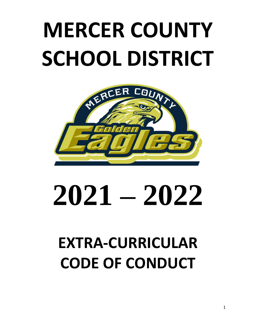# **MERCER COUNTY SCHOOL DISTRICT**



# **2021 – 2022**

# **EXTRA-CURRICULAR CODE OF CONDUCT**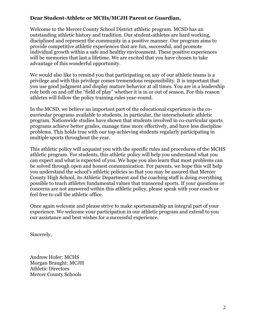#### **Dear Student-Athlete or MCHs/MCJH Parent or Guardian,**

Welcome to the Mercer County School District athletic program. MCSD has an outstanding athletic history and tradition. Our student-athletes are hard working, disciplined and represent the community in a positive manner. Our program aims to provide competitive athletic experiences that are fun, successful, and promote individual growth within a safe and healthy environment. These positive experiences will be memories that last a lifetime. We are excited that you have chosen to take advantage of this wonderful opportunity.

We would also like to remind you that participating on any of our athletic teams is a privilege and with this privilege comes tremendous responsibility. It is important that you use good judgment and display mature behavior at all times. You are in a leadership role both on and off the "field of play" whether it is in or out of season. For this reason athletes will follow the policy training rules year-round.

In the MCSD, we believe an important part of the educational experience is the cocurricular programs available to students, in particular, the interscholastic athletic program. Nationwide studies have shown that students involved in co-curricular sports programs achieve better grades, manage time more effectively, and have less discipline problems. This holds true with our top-achieving students regularly participating in multiple sports throughout the year.

This athletic policy will acquaint you with the specific rules and procedures of the MCHS athletic program. For students, this athletic policy will help you understand what you can expect and what is expected of you. We hope you also learn that most problems can be solved through open and honest communication. For parents, we hope this will help you understand the school's athletic policies so that you may be assured that Mercer County High School, its Athletic Department and the coaching staff is doing everything possible to teach athletes fundamental values that transcend sports. If your questions or concerns are not answered within this athletic policy, please speak with your coach or feel free to call the athletic office.

Once again welcome and please strive to make sportsmanship an integral part of your experience. We welcome your participation in our athletic program and extend to you our assistance and best wishes for a successful experience.

Sincerely,

Andrew Hofer: MCHS Morgan Braught: MCJH Athletic Directors Mercer County Schools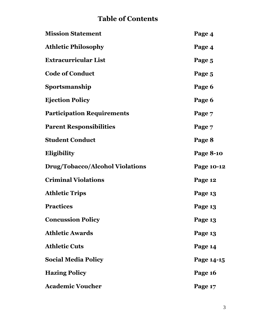# **Table of Contents**

| <b>Mission Statement</b>               | Page 4           |
|----------------------------------------|------------------|
| <b>Athletic Philosophy</b>             | Page 4           |
| <b>Extracurricular List</b>            | Page 5           |
| <b>Code of Conduct</b>                 | Page 5           |
| Sportsmanship                          | Page 6           |
| <b>Ejection Policy</b>                 | Page 6           |
| <b>Participation Requirements</b>      | Page 7           |
| <b>Parent Responsibilities</b>         | Page 7           |
| <b>Student Conduct</b>                 | Page 8           |
| Eligibility                            | <b>Page 8-10</b> |
| <b>Drug/Tobacco/Alcohol Violations</b> | Page 10-12       |
| <b>Criminal Violations</b>             | Page 12          |
| <b>Athletic Trips</b>                  | Page 13          |
| <b>Practices</b>                       | Page 13          |
| <b>Concussion Policy</b>               | Page 13          |
| <b>Athletic Awards</b>                 | Page 13          |
| <b>Athletic Cuts</b>                   | Page 14          |
| <b>Social Media Policy</b>             | Page 14-15       |
| <b>Hazing Policy</b>                   | Page 16          |
| <b>Academic Voucher</b>                | Page 17          |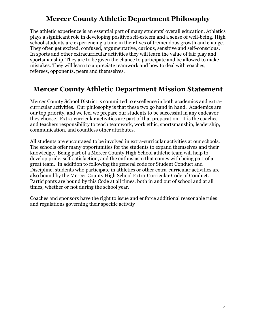# **Mercer County Athletic Department Philosophy**

The athletic experience is an essential part of many students' overall education. Athletics plays a significant role in developing positive self-esteem and a sense of well-being. High school students are experiencing a time in their lives of tremendous growth and change. They often get excited, confused, argumentative, curious, sensitive and self-conscious. In sports and other extracurricular activities they will learn the value of fair play and sportsmanship. They are to be given the chance to participate and be allowed to make mistakes. They will learn to appreciate teamwork and how to deal with coaches, referees, opponents, peers and themselves.

### **Mercer County Athletic Department Mission Statement**

Mercer County School District is committed to excellence in both academics and extracurricular activities. Our philosophy is that these two go hand in hand. Academics are our top priority, and we feel we prepare our students to be successful in any endeavor they choose. Extra-curricular activities are part of that preparation. It is the coaches and teachers responsibility to teach teamwork, work ethic, sportsmanship, leadership, communication, and countless other attributes.

All students are encouraged to be involved in extra-curricular activities at our schools. The schools offer many opportunities for the students to expand themselves and their knowledge. Being part of a Mercer County High School athletic team will help to develop pride, self-satisfaction, and the enthusiasm that comes with being part of a great team. In addition to following the general code for Student Conduct and Discipline, students who participate in athletics or other extra-curricular activities are also bound by the Mercer County High School Extra-Curricular Code of Conduct. Participants are bound by this Code at all times, both in and out of school and at all times, whether or not during the school year.

Coaches and sponsors have the right to issue and enforce additional reasonable rules and regulations governing their specific activity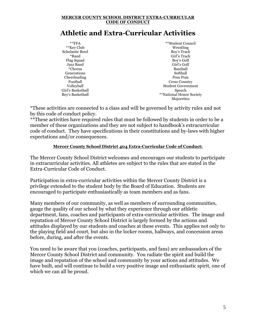#### **MERCER COUNTY SCHOOL DISTRICT EXTRA-CURRICULAR CODE OF CONDUCT**

# **Athletic and Extra-Curricular Activities**

| $*$ $*$ $FFA$          | **Student Council         |
|------------------------|---------------------------|
| **Key Club             | Wrestling                 |
| <b>Scholastic Bowl</b> | Boy's Track               |
| *Band                  | Girl's Track              |
| Flag Squad             | Boy's Golf                |
| Jazz Band              | Girl's Golf               |
| *Chorus                | Baseball                  |
| Generations            | Softball                  |
| Cheerleading           | Pom Pom                   |
| Football               | Cross Country             |
| Volleyball             | <b>Student Government</b> |
| Girl's Basketball      | Speech                    |
| Boy's Basketball       | **National Honor Society  |
|                        | Majorettes                |

\*These activities are connected to a class and will be governed by activity rules and not by this code of conduct policy.

\*\*These activities have required rules that must be followed by students in order to be a member of these organizations and they are not subject to handbook's extracurricular code of conduct. They have specifications in their constitutions and by-laws with higher expectations and/or consequences.

#### **Mercer County School District 404 Extra-Curricular Code of Conduct:**

The Mercer County School District welcomes and encourages our students to participate in extracurricular activities. All athletes are subject to the rules that are stated in the Extra-Curricular Code of Conduct.

Participation in extra-curricular activities within the Mercer County District is a privilege extended to the student body by the Board of Education. Students are encouraged to participate enthusiastically as team members and as fans.

Many members of our community, as well as members of surrounding communities, gauge the quality of our school by what they experience through our athletic department, fans, coaches and participants of extra-curricular activities. The image and reputation of Mercer County School District is largely formed by the actions and attitudes displayed by our students and coaches at these events. This applies not only to the playing field and court, but also in the locker rooms, hallways, and concession areas before, during, and after the events.

You need to be aware that you (coaches, participants, and fans) are ambassadors of the Mercer County School District and community. You radiate the spirit and build the image and reputation of the school and community by your actions and attitudes. We have built, and will continue to build a very positive image and enthusiastic spirit, one of which we can all be proud.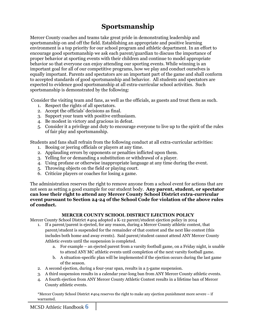# **Sportsmanship**

Mercer County coaches and teams take great pride in demonstrating leadership and sportsmanship on and off the field. Establishing an appropriate and positive learning environment is a top priority for our school program and athletic department. In an effort to encourage good sportsmanship we ask each parent/guardian to discuss the importance of proper behavior at sporting events with their children and continue to model appropriate behavior so that everyone can enjoy attending our sporting events. While winning is an important goal for all of our competitive programs, how we play and conduct ourselves is equally important. Parents and spectators are an important part of the game and shall conform to accepted standards of good sportsmanship and behavior. All students and spectators are expected to evidence good sportsmanship at all extra-curricular school activities. Such sportsmanship is demonstrated by the following:

Consider the visiting team and fans, as well as the officials, as guests and treat them as such.

- 1. Respect the rights of all spectators.
- 2. Accept the officials' decisions as final.
- 3. Support your team with positive enthusiasm.
- 4. Be modest in victory and gracious in defeat.
- 5. Consider it a privilege and duty to encourage everyone to live up to the spirit of the rules of fair play and sportsmanship.

Students and fans shall refrain from the following conduct at all extra-curricular activities:

- 1. Booing or jeering officials or players at any time.
- 2. Applauding errors by opponents or penalties inflicted upon them.
- 3. Yelling for or demanding a substitution or withdrawal of a player.
- 4. Using profane or otherwise inappropriate language at any time during the event.
- 5. Throwing objects on the field or playing court.
- 6. Criticize players or coaches for losing a game.

The administration reserves the right to remove anyone from a school event for actions that are not seen as setting a good example for our student body. **Any parent, student, or spectator can lose their right to attend any Mercer County School District extra-curricular event pursuant to Section 24-24 of the School Code for violation of the above rules of conduct.**

#### **MERCER COUNTY SCHOOL DISTRICT EJECTION POLICY**

Mercer County School District #404 adopted a K-12 parent/student ejection policy in 2014

- 1. If a parent/parent is ejected, for any reason, during a Mercer County athletic contest, that parent/student is suspended for the remainder of that contest and the next like contest (this includes both home and away events). Said parent/student cannot attend ANY Mercer County Athletic events until the suspension is completed.
	- a. For example an ejected parent from a varsity football game, on a Friday night, is unable to attend ANY MC athletic events until completion of the next varsity football game.
	- b. A situation-specific plan will be implemented if the ejection occurs during the last game of the season.
- 2. A second ejection, during a four-year span, results in a 5-game suspension.
- 3. A third suspension results in a calendar year-long ban from ANY Mercer County athletic events.
- 4. A fourth ejection from ANY Mercer County Athletic Contest results in a lifetime ban of Mercer County athletic events.

\*Mercer County School District #404 reserves the right to make any ejection punishment more severe – if warranted.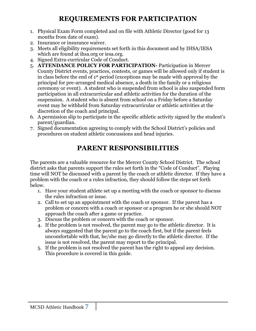# **REQUIREMENTS FOR PARTICIPATION**

- 1. Physical Exam Form completed and on file with Athletic Director (good for 13 months from date of exam).
- 2. Insurance or insurance waiver.
- 3. Meets all eligibility requirements set forth in this document and by IHSA/IESA which are found at ihsa.org or iesa.org.
- 4. Signed Extra-curricular Code of Conduct.
- 5. **ATTENDANCE POLICY FOR PARTICIPATION-** Participation in Mercer County District events, practices, contests, or games will be allowed only if student is in class before the end of 1st period (exceptions may be made with approval by the principal for pre-arranged medical absence, a death in the family or a religious ceremony or event). A student who is suspended from school is also suspended form participation in all extracurricular and athletic activities for the duration of the suspension. A student who is absent from school on a Friday before a Saturday event may be withheld from Saturday extracurricular or athletic activities at the discretion of the coach and principal.
- 6. A permission slip to participate in the specific athletic activity signed by the student's parent/guardian.
- 7. Signed documentation agreeing to comply with the School District's policies and procedures on student athletic concussions and head injuries.

# **PARENT RESPONSIBILITIES**

The parents are a valuable resource for the Mercer County School District. The school district asks that parents support the rules set forth in the "Code of Conduct". Playing time will NOT be discussed with a parent by the coach or athletic director. If they have a problem with the coach or a rules infraction, they should follow the steps set forth below.

- 1. Have your student athlete set up a meeting with the coach or sponsor to discuss the rules infraction or issue.
- 2. Call to set up an appointment with the coach or sponsor. If the parent has a problem or concern with a coach or sponsor or a program he or she should NOT approach the coach after a game or practice.
- 3. Discuss the problem or concern with the coach or sponsor.
- 4. If the problem is not resolved, the parent may go to the athletic director. It is always suggested that the parent go to the coach first, but if the parent feels uncomfortable with that, he/she may go directly to the athletic director. If the issue is not resolved, the parent may report to the principal.
- 5. If the problem is not resolved the parent has the right to appeal any decision. This procedure is covered in this guide.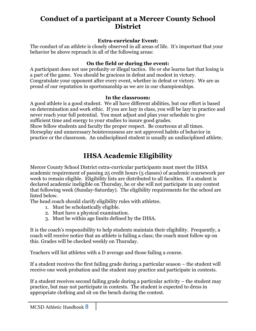# **Conduct of a participant at a Mercer County School District**

#### **Extra-curricular Event:**

The conduct of an athlete is closely observed in all areas of life. It's important that your behavior be above reproach in all of the following areas:

#### **On the field or during the event:**

A participant does not use profanity or illegal tactics. He or she learns fast that losing is a part of the game. You should be gracious in defeat and modest in victory. Congratulate your opponent after every event, whether in defeat or victory. We are as proud of our reputation in sportsmanship as we are in our championships.

#### **In the classroom:**

A good athlete is a good student. We all have different abilities, but our effort is based on determination and work ethic. If you are lazy in class, you will be lazy in practice and never reach your full potential. You must adjust and plan your schedule to give sufficient time and energy to your studies to insure good grades.

Show fellow students and faculty the proper respect. Be courteous at all times. Horseplay and unnecessary boisterousness are not approved habits of behavior in practice or the classroom. An undisciplined student is usually an undisciplined athlete.

# **IHSA Academic Eligibility**

Mercer County School District extra-curricular participants must meet the IHSA academic requirement of passing 25 credit hours (5 classes) of academic coursework per week to remain eligible. Eligibility lists are distributed to all faculties. If a student is declared academic ineligible on Thursday, he or she will not participate in any contest that following week (Sunday-Saturday). The eligibility requirements for the school are listed below.

The head coach should clarify eligibility rules with athletes.

- 1. Must be scholastically eligible.
- 2. Must have a physical examination.
- 3. Must be within age limits defined by the IHSA.

It is the coach's responsibility to help students maintain their eligibility. Frequently, a coach will receive notice that an athlete is failing a class; the coach must follow up on this. Grades will be checked weekly on Thursday.

Teachers will list athletes with a D average and those failing a course.

If a student receives the first failing grade during a particular season – the student will receive one week probation and the student may practice and participate in contests.

If a student receives second failing grade during a particular activity – the student may practice, but may not participate in contests. The student is expected to dress in appropriate clothing and sit on the bench during the contest.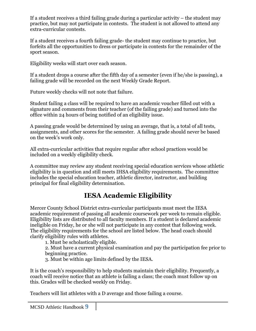If a student receives a third failing grade during a particular activity – the student may practice, but may not participate in contests. The student is not allowed to attend any extra-curricular contests.

If a student receives a fourth failing grade- the student may continue to practice, but forfeits all the opportunities to dress or participate in contests for the remainder of the sport season.

Eligibility weeks will start over each season.

If a student drops a course after the fifth day of a semester (even if he/she is passing), a failing grade will be recorded on the next Weekly Grade Report.

Future weekly checks will not note that failure.

Student failing a class will be required to have an academic voucher filled out with a signature and comments from their teacher (of the failing grade) and turned into the office within 24 hours of being notified of an eligibility issue.

A passing grade would be determined by using an average, that is, a total of all tests, assignments, and other scores for the semester. A failing grade should never be based on the week's work only.

All extra-curricular activities that require regular after school practices would be included on a weekly eligibility check.

A committee may review any student receiving special education services whose athletic eligibility is in question and still meets IHSA eligibility requirements. The committee includes the special education teacher, athletic director, instructor, and building principal for final eligibility determination.

# **IESA Academic Eligibility**

Mercer County School District extra-curricular participants must meet the IESA academic requirement of passing all academic coursework per week to remain eligible. Eligibility lists are distributed to all faculty members. If a student is declared academic ineligible on Friday, he or she will not participate in any contest that following week. The eligibility requirements for the school are listed below. The head coach should clarify eligibility rules with athletes.

1. Must be scholastically eligible.

2. Must have a current physical examination and pay the participation fee prior to beginning practice.

3. Must be within age limits defined by the IESA.

It is the coach's responsibility to help students maintain their eligibility. Frequently, a coach will receive notice that an athlete is failing a class; the coach must follow up on this. Grades will be checked weekly on Friday.

Teachers will list athletes with a D average and those failing a course.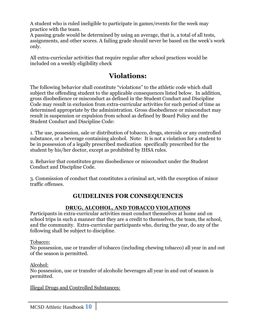A student who is ruled ineligible to participate in games/events for the week may practice with the team.

A passing grade would be determined by using an average, that is, a total of all tests, assignments, and other scores. A failing grade should never be based on the week's work only.

All extra-curricular activities that require regular after school practices would be included on a weekly eligibility check

# **Violations:**

The following behavior shall constitute "violations" to the athletic code which shall subject the offending student to the applicable consequences listed below. In addition, gross disobedience or misconduct as defined in the Student Conduct and Discipline Code may result in exclusion from extra-curricular activities for such period of time as determined appropriate by the administration. Gross disobedience or misconduct may result in suspension or expulsion from school as defined by Board Policy and the Student Conduct and Discipline Code:

1. The use, possession, sale or distribution of tobacco, drugs, steroids or any controlled substance, or a beverage containing alcohol. Note: It is not a violation for a student to be in possession of a legally prescribed medication specifically prescribed for the student by his/her doctor, except as prohibited by IHSA rules.

2. Behavior that constitutes gross disobedience or misconduct under the Student Conduct and Discipline Code.

3. Commission of conduct that constitutes a criminal act, with the exception of minor traffic offenses.

#### **GUIDELINES FOR CONSEQUENCES**

#### **DRUG, ALCOHOL, AND TOBACCO VIOLATIONS**

Participants in extra-curricular activities must conduct themselves at home and on school trips in such a manner that they are a credit to themselves, the team, the school, and the community. Extra-curricular participants who, during the year, do any of the following shall be subject to discipline.

Tobacco:

No possession, use or transfer of tobacco (including chewing tobacco) all year in and out of the season is permitted.

Alcohol:

No possession, use or transfer of alcoholic beverages all year in and out of season is permitted.

Illegal Drugs and Controlled Substances:

MCSD Athletic Handbook **10**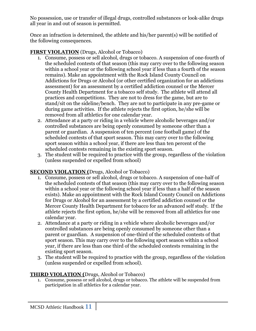No possession, use or transfer of illegal drugs, controlled substances or look-alike drugs all year in and out of season is permitted.

Once an infraction is determined, the athlete and his/her parent(s) will be notified of the following consequences.

#### **FIRST VIOLATION** (Drugs, Alcohol or Tobacco)

- 1. Consume, possess or sell alcohol, drugs or tobacco. A suspension of one-fourth of the scheduled contests of that season (this may carry over to the following season within a school year or the following school year if less than a fourth of the season remains). Make an appointment with the Rock Island County Council on Addictions for Drugs or Alcohol (or other certified organization for an addictions assessment) for an assessment by a certified addiction counsel or the Mercer County Health Department for a tobacco self study. The athlete will attend all practices and competitions. They are not to dress for the game, but are to stand/sit on the sideline/bench. They are not to participate in any pre-game or during game activities. If the athlete rejects the first option, he/she will be removed from all athletics for one calendar year.
- 2. Attendance at a party or riding in a vehicle where alcoholic beverages and/or controlled substances are being openly consumed by someone other than a parent or guardian. A suspension of ten percent (one football game) of the scheduled contests of that sport season. This may carry over to the following sport season within a school year, if there are less than ten percent of the scheduled contests remaining in the existing sport season.
- 3. The student will be required to practice with the group, regardless of the violation (unless suspended or expelled from school)

#### **SECOND VIOLATION (**Drugs, Alcohol or Tobacco)

- 1. Consume, possess or sell alcohol, drugs or tobacco. A suspension of one-half of the scheduled contests of that season (this may carry over to the following season within a school year or the following school year if less than a half of the season exists). Make an appointment with the Rock Island County Council on Addictions for Drugs or Alcohol for an assessment by a certified addiction counsel or the Mercer County Health Department for tobacco for an advanced self study. If the athlete rejects the first option, he/she will be removed from all athletics for one calendar year.
- 2. Attendance at a party or riding in a vehicle where alcoholic beverages and/or controlled substances are being openly consumed by someone other than a parent or guardian. A suspension of one-third of the scheduled contests of that sport season. This may carry over to the following sport season within a school year, if there are less than one third of the scheduled contests remaining in the existing sport season.
- 3. The student will be required to practice with the group, regardless of the violation (unless suspended or expelled from school).

#### **THIRD VIOLATION (**Drugs, Alcohol or Tobacco)

1. Consume, possess or sell alcohol, drugs or tobacco. The athlete will be suspended from participation in all athletics for a calendar year.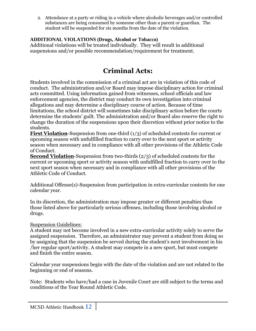2. Attendance at a party or riding in a vehicle where alcoholic beverages and/or controlled substances are being consumed by someone other than a parent or guardian. The student will be suspended for six months from the date of the violation.

#### **ADDITIONAL VIOLATIONS (Drugs, Alcohol or Tobacco)**

Additional violations will be treated individually. They will result in additional suspensions and/or possible recommendation/requirement for treatment.

# **Criminal Acts:**

Students involved in the commission of a criminal act are in violation of this code of conduct. The administration and/or Board may impose disciplinary action for criminal acts committed. Using information gained from witnesses, school officials and law enforcement agencies, the district may conduct its own investigation into criminal allegations and may determine a disciplinary course of action. Because of time limitations, the school district will sometimes take disciplinary action before the courts determine the students' guilt. The administration and/or Board also reserve the right to change the duration of the suspensions upon their discretion without prior notice to the students.

**First Violation-**Suspension from one-third (1/3) of scheduled contests for current or upcoming season with unfulfilled fraction to carry over to the next sport or activity season when necessary and in compliance with all other provisions of the Athletic Code of Conduct.

**Second Violation**-Suspension from two-thirds (2/3) of scheduled contests for the current or upcoming sport or activity season with unfulfilled fraction to carry over to the next sport season when necessary and in compliance with all other provisions of the Athletic Code of Conduct.

Additional Offense(s)-Suspension from participation in extra-curricular contests for one calendar year.

In its discretion, the administration may impose greater or different penalties than those listed above for particularly serious offenses, including those involving alcohol or drugs.

#### Suspension Guidelines:

A student may not become involved in a new extra-curricular activity solely to serve the assigned suspension. Therefore, an administrator may prevent a student from doing so by assigning that the suspension be served during the student's next involvement in his /her regular sport/activity. A student may compete in a new sport, but must compete and finish the entire season.

Calendar year suspensions begin with the date of the violation and are not related to the beginning or end of seasons.

Note: Students who have/had a case in Juvenile Court are still subject to the terms and conditions of the Year Round Athletic Code.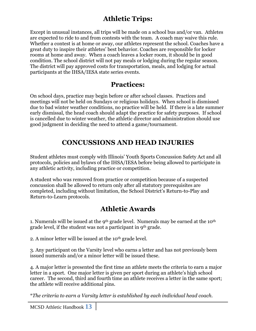# **Athletic Trips:**

Except in unusual instances, all trips will be made on a school bus and/or van. Athletes are expected to ride to and from contests with the team. A coach may waive this rule. Whether a contest is at home or away, our athletes represent the school. Coaches have a great duty to inspire their athletes' best behavior. Coaches are responsible for locker rooms at home and away. When a coach leaves a locker room, it should be in good condition. The school district will not pay meals or lodging during the regular season. The district will pay approved costs for transportation, meals, and lodging for actual participants at the IHSA/IESA state series events.

### **Practices:**

On school days, practice may begin before or after school classes. Practices and meetings will not be held on Sundays or religious holidays. When school is dismissed due to bad winter weather conditions, no practice will be held. If there is a late summer early dismissal, the head coach should adapt the practice for safety purposes. If school is cancelled due to winter weather, the athletic director and administration should use good judgment in deciding the need to attend a game/tournament.

# **CONCUSSIONS AND HEAD INJURIES**

Student athletes must comply with Illinois' Youth Sports Concussion Safety Act and all protocols, policies and bylaws of the IHSA/IESA before being allowed to participate in any athletic activity, including practice or competition.

A student who was removed from practice or competition because of a suspected concussion shall be allowed to return only after all statutory prerequisites are completed, including without limitation, the School District's Return-to-Play and Return-to-Learn protocols.

# **Athletic Awards**

1. Numerals will be issued at the 9<sup>th</sup> grade level. Numerals may be earned at the 10<sup>th</sup> grade level, if the student was not a participant in 9th grade.

2. A minor letter will be issued at the 10<sup>th</sup> grade level.

3. Any participant on the Varsity level who earns a letter and has not previously been issued numerals and/or a minor letter will be issued these.

4. A major letter is presented the first time an athlete meets the criteria to earn a major letter in a sport. One major letter is given per sport during an athlete's high school career. The second, third and fourth time an athlete receives a letter in the same sport; the athlete will receive additional pins.

\**The criteria to earn a Varsity letter is established by each individual head coach.*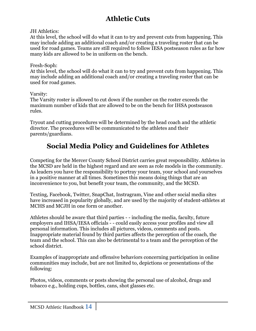# **Athletic Cuts**

JH Athletics:

At this level, the school will do what it can to try and prevent cuts from happening. This may include adding an additional coach and/or creating a traveling roster that can be used for road games. Teams are still required to follow IESA postseason rules as far how many kids are allowed to be in uniform on the bench.

#### Fresh-Soph:

At this level, the school will do what it can to try and prevent cuts from happening. This may include adding an additional coach and/or creating a traveling roster that can be used for road games.

#### Varsity:

The Varsity roster is allowed to cut down if the number on the roster exceeds the maximum number of kids that are allowed to be on the bench for IHSA postseason rules.

Tryout and cutting procedures will be determined by the head coach and the athletic director. The procedures will be communicated to the athletes and their parents/guardians.

# **Social Media Policy and Guidelines for Athletes**

Competing for the Mercer County School District carries great responsibility. Athletes in the MCSD are held in the highest regard and are seen as role models in the community. As leaders you have the responsibility to portray your team, your school and yourselves in a positive manner at all times. Sometimes this means doing things that are an inconvenience to you, but benefit your team, the community, and the MCSD.

Texting, Facebook, Twitter, SnapChat, Instragram, Vine and other social media sites have increased in popularity globally, and are used by the majority of student-athletes at MCHS and MCJH in one form or another.

Athletes should be aware that third parties - - including the media, faculty, future employers and IHSA/IESA officials - - could easily access your profiles and view all personal information. This includes all pictures, videos, comments and posts. Inappropriate material found by third parties affects the perception of the coach, the team and the school. This can also be detrimental to a team and the perception of the school district.

Examples of inappropriate and offensive behaviors concerning participation in online communities may include, but are not limited to, depictions or presentations of the following:

Photos, videos, comments or posts showing the personal use of alcohol, drugs and tobacco e.g., holding cups, bottles, cans, shot glasses etc.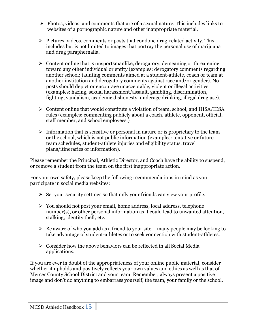- $\triangleright$  Photos, videos, and comments that are of a sexual nature. This includes links to websites of a pornographic nature and other inappropriate material.
- $\triangleright$  Pictures, videos, comments or posts that condone drug-related activity. This includes but is not limited to images that portray the personal use of marijuana and drug paraphernalia.
- $\triangleright$  Content online that is unsportsmanlike, derogatory, demeaning or threatening toward any other individual or entity (examples: derogatory comments regarding another school; taunting comments aimed at a student-athlete, coach or team at another institution and derogatory comments against race and/or gender). No posts should depict or encourage unacceptable, violent or illegal activities (examples: hazing, sexual harassment/assault, gambling, discrimination, fighting, vandalism, academic dishonesty, underage drinking, illegal drug use).
- $\triangleright$  Content online that would constitute a violation of team, school, and IHSA/IESA rules (examples: commenting publicly about a coach, athlete, opponent, official, staff member, and school employees.)
- $\triangleright$  Information that is sensitive or personal in nature or is proprietary to the team or the school, which is not public information (examples: tentative or future team schedules, student-athlete injuries and eligibility status, travel plans/itineraries or information).

Please remember the Principal, Athletic Director, and Coach have the ability to suspend, or remove a student from the team on the first inappropriate action.

For your own safety, please keep the following recommendations in mind as you participate in social media websites:

- $\triangleright$  Set your security settings so that only your friends can view your profile.
- $\triangleright$  You should not post your email, home address, local address, telephone number(s), or other personal information as it could lead to unwanted attention, stalking, identity theft, etc.
- $\triangleright$  Be aware of who you add as a friend to your site many people may be looking to take advantage of student-athletes or to seek connection with student-athletes.
- $\triangleright$  Consider how the above behaviors can be reflected in all Social Media applications.

If you are ever in doubt of the appropriateness of your online public material, consider whether it upholds and positively reflects your own values and ethics as well as that of Mercer County School District and your team. Remember, always present a positive image and don't do anything to embarrass yourself, the team, your family or the school.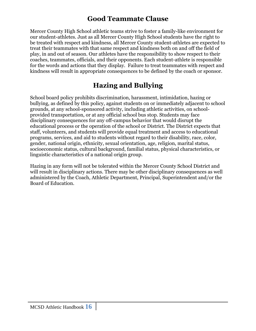# **Good Teammate Clause**

Mercer County High School athletic teams strive to foster a family-like environment for our student-athletes. Just as all Mercer County High School students have the right to be treated with respect and kindness, all Mercer County student-athletes are expected to treat their teammates with that same respect and kindness both on and off the field of play, in and out of season. Our athletes have the responsibility to show respect to their coaches, teammates, officials, and their opponents. Each student-athlete is responsible for the words and actions that they display. Failure to treat teammates with respect and kindness will result in appropriate consequences to be defined by the coach or sponsor.

# **Hazing and Bullying**

School board policy prohibits discrimination, harassment, intimidation, hazing or bullying, as defined by this policy, against students on or immediately adjacent to school grounds, at any school-sponsored activity, including athletic activities, on schoolprovided transportation, or at any official school bus stop. Students may face disciplinary consequences for any off-campus behavior that would disrupt the educational process or the operation of the school or District. The District expects that staff, volunteers, and students will provide equal treatment and access to educational programs, services, and aid to students without regard to their disability, race, color, gender, national origin, ethnicity, sexual orientation, age, religion, marital status, socioeconomic status, cultural background, familial status, physical characteristics, or linguistic characteristics of a national origin group.

Hazing in any form will not be tolerated within the Mercer County School District and will result in disciplinary actions. There may be other disciplinary consequences as well administered by the Coach, Athletic Department, Principal, Superintendent and/or the Board of Education.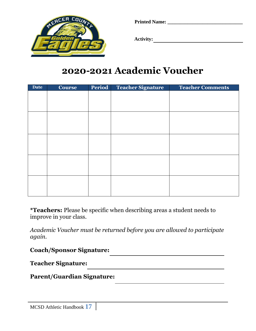

**Printed Name: \_\_\_\_\_\_\_\_\_\_\_\_\_\_\_\_\_\_\_\_\_\_\_\_\_\_\_\_\_\_**

 **Activity:** 

# **2020-2021 Academic Voucher**

| <b>Date</b> | <b>Course</b> | <b>Period</b> | <b>Teacher Signature</b> | <b>Teacher Comments</b> |
|-------------|---------------|---------------|--------------------------|-------------------------|
|             |               |               |                          |                         |
|             |               |               |                          |                         |
|             |               |               |                          |                         |
|             |               |               |                          |                         |
|             |               |               |                          |                         |
|             |               |               |                          |                         |
|             |               |               |                          |                         |
|             |               |               |                          |                         |
|             |               |               |                          |                         |
|             |               |               |                          |                         |
|             |               |               |                          |                         |
|             |               |               |                          |                         |
|             |               |               |                          |                         |
|             |               |               |                          |                         |
|             |               |               |                          |                         |

**\*Teachers:** Please be specific when describing areas a student needs to improve in your class.

*Academic Voucher must be returned before you are allowed to participate again.* 

<u> 1989 - Johann Barn, mars ann an t-Amhain Aonaich an t-Aonaich an t-Aonaich ann an t-Aonaich ann an t-Aonaich</u>

**Coach/Sponsor Signature:** 

**Teacher Signature:** 

**Parent/Guardian Signature:**